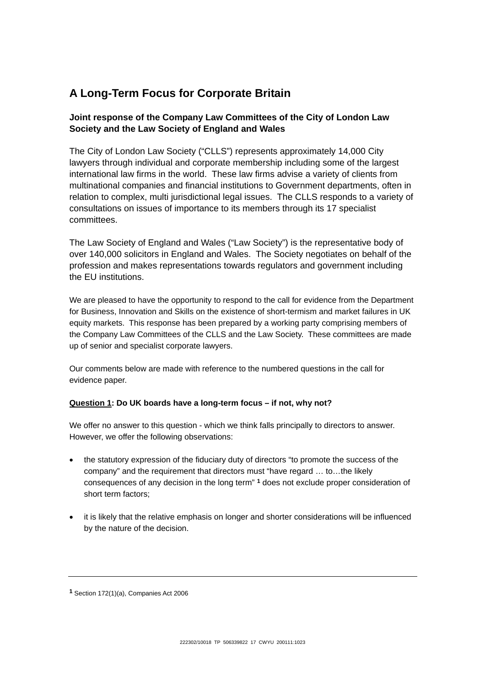# **A Long-Term Focus for Corporate Britain**

# **Joint response of the Company Law Committees of the City of London Law Society and the Law Society of England and Wales**

The City of London Law Society ("CLLS") represents approximately 14,000 City lawyers through individual and corporate membership including some of the largest international law firms in the world. These law firms advise a variety of clients from multinational companies and financial institutions to Government departments, often in relation to complex, multi jurisdictional legal issues. The CLLS responds to a variety of consultations on issues of importance to its members through its 17 specialist committees.

The Law Society of England and Wales ("Law Society") is the representative body of over 140,000 solicitors in England and Wales. The Society negotiates on behalf of the profession and makes representations towards regulators and government including the EU institutions.

We are pleased to have the opportunity to respond to the call for evidence from the Department for Business, Innovation and Skills on the existence of short-termism and market failures in UK equity markets. This response has been prepared by a working party comprising members of the Company Law Committees of the CLLS and the Law Society. These committees are made up of senior and specialist corporate lawyers.

Our comments below are made with reference to the numbered questions in the call for evidence paper.

# **Question 1: Do UK boards have a long-term focus – if not, why not?**

We offer no answer to this question - which we think falls principally to directors to answer. However, we offer the following observations:

- the statutory expression of the fiduciary duty of directors "to promote the success of the company" and the requirement that directors must "have regard … to…the likely consequences of any decision in the long term" **[1](#page-0-0)** does not exclude proper consideration of short term factors;
- it is likely that the relative emphasis on longer and shorter considerations will be influenced by the nature of the decision.

<span id="page-0-0"></span>**<sup>1</sup>** Section 172(1)(a), Companies Act 2006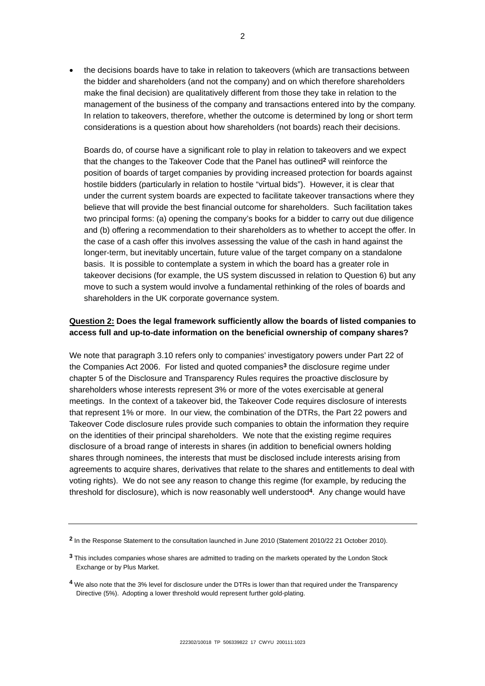• the decisions boards have to take in relation to takeovers (which are transactions between the bidder and shareholders (and not the company) and on which therefore shareholders make the final decision) are qualitatively different from those they take in relation to the management of the business of the company and transactions entered into by the company. In relation to takeovers, therefore, whether the outcome is determined by long or short term considerations is a question about how shareholders (not boards) reach their decisions.

Boards do, of course have a significant role to play in relation to takeovers and we expect that the changes to the Takeover Code that the Panel has outlined**[2](#page-1-0)** will reinforce the position of boards of target companies by providing increased protection for boards against hostile bidders (particularly in relation to hostile "virtual bids"). However, it is clear that under the current system boards are expected to facilitate takeover transactions where they believe that will provide the best financial outcome for shareholders. Such facilitation takes two principal forms: (a) opening the company's books for a bidder to carry out due diligence and (b) offering a recommendation to their shareholders as to whether to accept the offer. In the case of a cash offer this involves assessing the value of the cash in hand against the longer-term, but inevitably uncertain, future value of the target company on a standalone basis. It is possible to contemplate a system in which the board has a greater role in takeover decisions (for example, the US system discussed in relation to Question 6) but any move to such a system would involve a fundamental rethinking of the roles of boards and shareholders in the UK corporate governance system.

## **Question 2: Does the legal framework sufficiently allow the boards of listed companies to access full and up-to-date information on the beneficial ownership of company shares?**

We note that paragraph 3.10 refers only to companies' investigatory powers under Part 22 of the Companies Act 2006. For listed and quoted companies**[3](#page-1-1)** the disclosure regime under chapter 5 of the Disclosure and Transparency Rules requires the proactive disclosure by shareholders whose interests represent 3% or more of the votes exercisable at general meetings. In the context of a takeover bid, the Takeover Code requires disclosure of interests that represent 1% or more. In our view, the combination of the DTRs, the Part 22 powers and Takeover Code disclosure rules provide such companies to obtain the information they require on the identities of their principal shareholders. We note that the existing regime requires disclosure of a broad range of interests in shares (in addition to beneficial owners holding shares through nominees, the interests that must be disclosed include interests arising from agreements to acquire shares, derivatives that relate to the shares and entitlements to deal with voting rights). We do not see any reason to change this regime (for example, by reducing the threshold for disclosure), which is now reasonably well understood**[4](#page-1-2)**. Any change would have

<span id="page-1-0"></span>**<sup>2</sup>** In the Response Statement to the consultation launched in June 2010 (Statement 2010/22 21 October 2010).

<span id="page-1-1"></span>**<sup>3</sup>** This includes companies whose shares are admitted to trading on the markets operated by the London Stock Exchange or by Plus Market.

<span id="page-1-2"></span>**<sup>4</sup>** We also note that the 3% level for disclosure under the DTRs is lower than that required under the Transparency Directive (5%). Adopting a lower threshold would represent further gold-plating.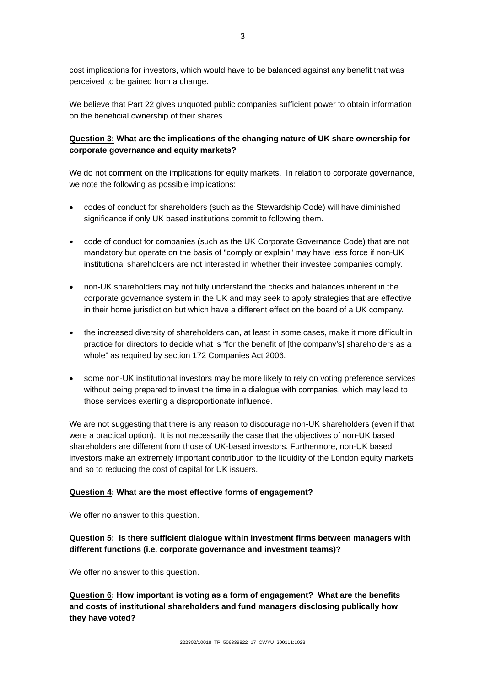cost implications for investors, which would have to be balanced against any benefit that was perceived to be gained from a change.

We believe that Part 22 gives unquoted public companies sufficient power to obtain information on the beneficial ownership of their shares.

# **Question 3: What are the implications of the changing nature of UK share ownership for corporate governance and equity markets?**

We do not comment on the implications for equity markets. In relation to corporate governance, we note the following as possible implications:

- codes of conduct for shareholders (such as the Stewardship Code) will have diminished significance if only UK based institutions commit to following them.
- code of conduct for companies (such as the UK Corporate Governance Code) that are not mandatory but operate on the basis of "comply or explain" may have less force if non-UK institutional shareholders are not interested in whether their investee companies comply.
- non-UK shareholders may not fully understand the checks and balances inherent in the corporate governance system in the UK and may seek to apply strategies that are effective in their home jurisdiction but which have a different effect on the board of a UK company.
- the increased diversity of shareholders can, at least in some cases, make it more difficult in practice for directors to decide what is "for the benefit of [the company's] shareholders as a whole" as required by section 172 Companies Act 2006.
- some non-UK institutional investors may be more likely to rely on voting preference services without being prepared to invest the time in a dialogue with companies, which may lead to those services exerting a disproportionate influence.

We are not suggesting that there is any reason to discourage non-UK shareholders (even if that were a practical option). It is not necessarily the case that the objectives of non-UK based shareholders are different from those of UK-based investors. Furthermore, non-UK based investors make an extremely important contribution to the liquidity of the London equity markets and so to reducing the cost of capital for UK issuers.

#### **Question 4: What are the most effective forms of engagement?**

We offer no answer to this question.

# **Question 5: Is there sufficient dialogue within investment firms between managers with different functions (i.e. corporate governance and investment teams)?**

We offer no answer to this question.

**Question 6: How important is voting as a form of engagement? What are the benefits and costs of institutional shareholders and fund managers disclosing publically how they have voted?**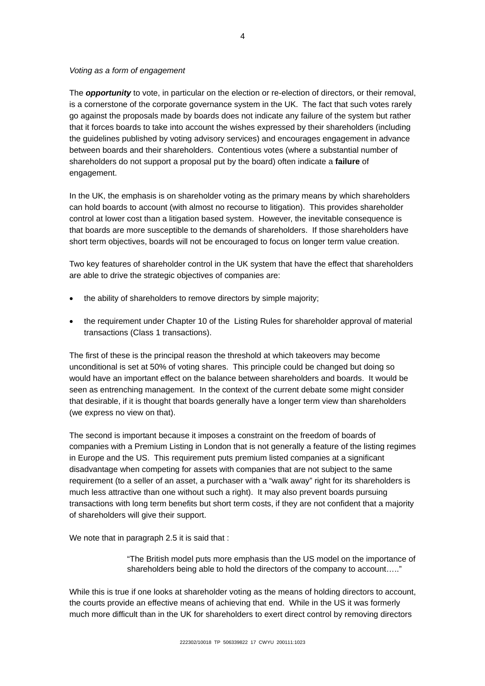#### *Voting as a form of engagement*

The **opportunity** to vote, in particular on the election or re-election of directors, or their removal, is a cornerstone of the corporate governance system in the UK. The fact that such votes rarely go against the proposals made by boards does not indicate any failure of the system but rather that it forces boards to take into account the wishes expressed by their shareholders (including the guidelines published by voting advisory services) and encourages engagement in advance between boards and their shareholders. Contentious votes (where a substantial number of shareholders do not support a proposal put by the board) often indicate a **failure** of engagement.

In the UK, the emphasis is on shareholder voting as the primary means by which shareholders can hold boards to account (with almost no recourse to litigation). This provides shareholder control at lower cost than a litigation based system. However, the inevitable consequence is that boards are more susceptible to the demands of shareholders. If those shareholders have short term objectives, boards will not be encouraged to focus on longer term value creation.

Two key features of shareholder control in the UK system that have the effect that shareholders are able to drive the strategic objectives of companies are:

- the ability of shareholders to remove directors by simple majority;
- the requirement under Chapter 10 of the Listing Rules for shareholder approval of material transactions (Class 1 transactions).

The first of these is the principal reason the threshold at which takeovers may become unconditional is set at 50% of voting shares. This principle could be changed but doing so would have an important effect on the balance between shareholders and boards. It would be seen as entrenching management. In the context of the current debate some might consider that desirable, if it is thought that boards generally have a longer term view than shareholders (we express no view on that).

The second is important because it imposes a constraint on the freedom of boards of companies with a Premium Listing in London that is not generally a feature of the listing regimes in Europe and the US. This requirement puts premium listed companies at a significant disadvantage when competing for assets with companies that are not subject to the same requirement (to a seller of an asset, a purchaser with a "walk away" right for its shareholders is much less attractive than one without such a right). It may also prevent boards pursuing transactions with long term benefits but short term costs, if they are not confident that a majority of shareholders will give their support.

We note that in paragraph 2.5 it is said that :

"The British model puts more emphasis than the US model on the importance of shareholders being able to hold the directors of the company to account….."

While this is true if one looks at shareholder voting as the means of holding directors to account, the courts provide an effective means of achieving that end. While in the US it was formerly much more difficult than in the UK for shareholders to exert direct control by removing directors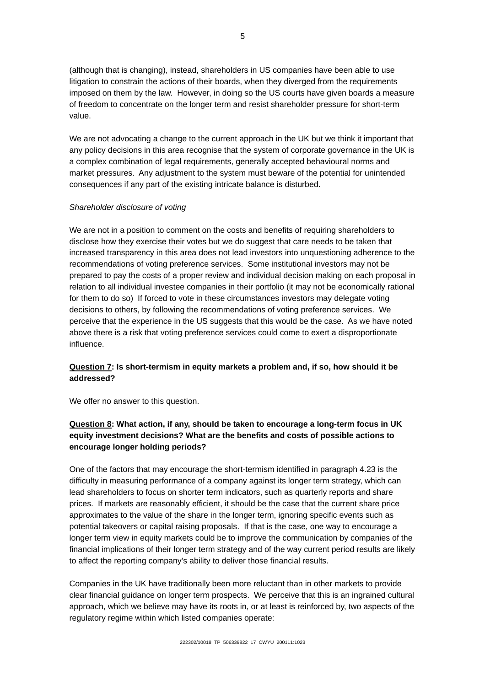(although that is changing), instead, shareholders in US companies have been able to use litigation to constrain the actions of their boards, when they diverged from the requirements imposed on them by the law. However, in doing so the US courts have given boards a measure of freedom to concentrate on the longer term and resist shareholder pressure for short-term value.

We are not advocating a change to the current approach in the UK but we think it important that any policy decisions in this area recognise that the system of corporate governance in the UK is a complex combination of legal requirements, generally accepted behavioural norms and market pressures. Any adjustment to the system must beware of the potential for unintended consequences if any part of the existing intricate balance is disturbed.

#### *Shareholder disclosure of voting*

We are not in a position to comment on the costs and benefits of requiring shareholders to disclose how they exercise their votes but we do suggest that care needs to be taken that increased transparency in this area does not lead investors into unquestioning adherence to the recommendations of voting preference services. Some institutional investors may not be prepared to pay the costs of a proper review and individual decision making on each proposal in relation to all individual investee companies in their portfolio (it may not be economically rational for them to do so) If forced to vote in these circumstances investors may delegate voting decisions to others, by following the recommendations of voting preference services. We perceive that the experience in the US suggests that this would be the case. As we have noted above there is a risk that voting preference services could come to exert a disproportionate influence.

# **Question 7: Is short-termism in equity markets a problem and, if so, how should it be addressed?**

We offer no answer to this question.

# **Question 8: What action, if any, should be taken to encourage a long-term focus in UK equity investment decisions? What are the benefits and costs of possible actions to encourage longer holding periods?**

One of the factors that may encourage the short-termism identified in paragraph 4.23 is the difficulty in measuring performance of a company against its longer term strategy, which can lead shareholders to focus on shorter term indicators, such as quarterly reports and share prices. If markets are reasonably efficient, it should be the case that the current share price approximates to the value of the share in the longer term, ignoring specific events such as potential takeovers or capital raising proposals. If that is the case, one way to encourage a longer term view in equity markets could be to improve the communication by companies of the financial implications of their longer term strategy and of the way current period results are likely to affect the reporting company's ability to deliver those financial results.

Companies in the UK have traditionally been more reluctant than in other markets to provide clear financial guidance on longer term prospects. We perceive that this is an ingrained cultural approach, which we believe may have its roots in, or at least is reinforced by, two aspects of the regulatory regime within which listed companies operate: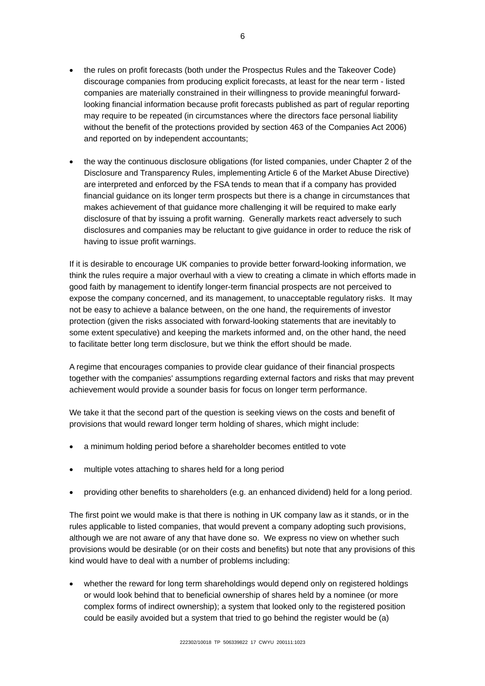- the rules on profit forecasts (both under the Prospectus Rules and the Takeover Code) discourage companies from producing explicit forecasts, at least for the near term - listed companies are materially constrained in their willingness to provide meaningful forwardlooking financial information because profit forecasts published as part of regular reporting may require to be repeated (in circumstances where the directors face personal liability without the benefit of the protections provided by section 463 of the Companies Act 2006) and reported on by independent accountants;
- the way the continuous disclosure obligations (for listed companies, under Chapter 2 of the Disclosure and Transparency Rules, implementing Article 6 of the Market Abuse Directive) are interpreted and enforced by the FSA tends to mean that if a company has provided financial guidance on its longer term prospects but there is a change in circumstances that makes achievement of that guidance more challenging it will be required to make early disclosure of that by issuing a profit warning. Generally markets react adversely to such disclosures and companies may be reluctant to give guidance in order to reduce the risk of having to issue profit warnings.

If it is desirable to encourage UK companies to provide better forward-looking information, we think the rules require a major overhaul with a view to creating a climate in which efforts made in good faith by management to identify longer-term financial prospects are not perceived to expose the company concerned, and its management, to unacceptable regulatory risks. It may not be easy to achieve a balance between, on the one hand, the requirements of investor protection (given the risks associated with forward-looking statements that are inevitably to some extent speculative) and keeping the markets informed and, on the other hand, the need to facilitate better long term disclosure, but we think the effort should be made.

A regime that encourages companies to provide clear guidance of their financial prospects together with the companies' assumptions regarding external factors and risks that may prevent achievement would provide a sounder basis for focus on longer term performance.

We take it that the second part of the question is seeking views on the costs and benefit of provisions that would reward longer term holding of shares, which might include:

- a minimum holding period before a shareholder becomes entitled to vote
- multiple votes attaching to shares held for a long period
- providing other benefits to shareholders (e.g. an enhanced dividend) held for a long period.

The first point we would make is that there is nothing in UK company law as it stands, or in the rules applicable to listed companies, that would prevent a company adopting such provisions, although we are not aware of any that have done so. We express no view on whether such provisions would be desirable (or on their costs and benefits) but note that any provisions of this kind would have to deal with a number of problems including:

• whether the reward for long term shareholdings would depend only on registered holdings or would look behind that to beneficial ownership of shares held by a nominee (or more complex forms of indirect ownership); a system that looked only to the registered position could be easily avoided but a system that tried to go behind the register would be (a)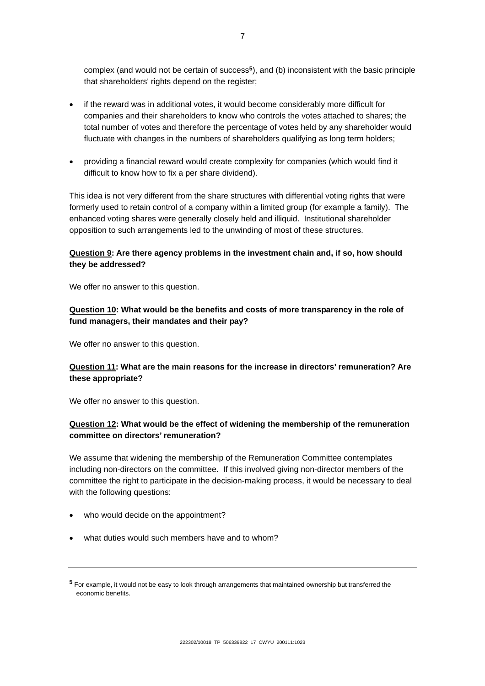complex (and would not be certain of success**[5](#page-6-0)**), and (b) inconsistent with the basic principle that shareholders' rights depend on the register:

- if the reward was in additional votes, it would become considerably more difficult for companies and their shareholders to know who controls the votes attached to shares; the total number of votes and therefore the percentage of votes held by any shareholder would fluctuate with changes in the numbers of shareholders qualifying as long term holders;
- providing a financial reward would create complexity for companies (which would find it difficult to know how to fix a per share dividend).

This idea is not very different from the share structures with differential voting rights that were formerly used to retain control of a company within a limited group (for example a family). The enhanced voting shares were generally closely held and illiquid. Institutional shareholder opposition to such arrangements led to the unwinding of most of these structures.

#### **Question 9: Are there agency problems in the investment chain and, if so, how should they be addressed?**

We offer no answer to this question.

# **Question 10: What would be the benefits and costs of more transparency in the role of fund managers, their mandates and their pay?**

We offer no answer to this question.

# **Question 11: What are the main reasons for the increase in directors' remuneration? Are these appropriate?**

We offer no answer to this question.

# **Question 12: What would be the effect of widening the membership of the remuneration committee on directors' remuneration?**

We assume that widening the membership of the Remuneration Committee contemplates including non-directors on the committee. If this involved giving non-director members of the committee the right to participate in the decision-making process, it would be necessary to deal with the following questions:

- who would decide on the appointment?
- what duties would such members have and to whom?

<span id="page-6-0"></span>**<sup>5</sup>** For example, it would not be easy to look through arrangements that maintained ownership but transferred the economic benefits.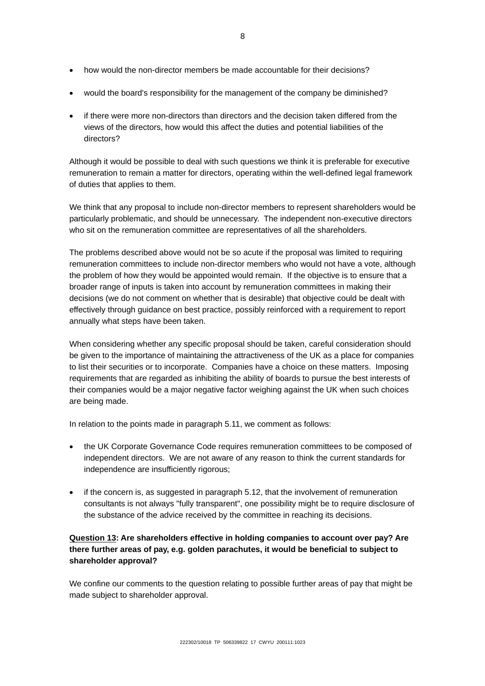- how would the non-director members be made accountable for their decisions?
- would the board's responsibility for the management of the company be diminished?
- if there were more non-directors than directors and the decision taken differed from the views of the directors, how would this affect the duties and potential liabilities of the directors?

Although it would be possible to deal with such questions we think it is preferable for executive remuneration to remain a matter for directors, operating within the well-defined legal framework of duties that applies to them.

We think that any proposal to include non-director members to represent shareholders would be particularly problematic, and should be unnecessary. The independent non-executive directors who sit on the remuneration committee are representatives of all the shareholders.

The problems described above would not be so acute if the proposal was limited to requiring remuneration committees to include non-director members who would not have a vote, although the problem of how they would be appointed would remain. If the objective is to ensure that a broader range of inputs is taken into account by remuneration committees in making their decisions (we do not comment on whether that is desirable) that objective could be dealt with effectively through guidance on best practice, possibly reinforced with a requirement to report annually what steps have been taken.

When considering whether any specific proposal should be taken, careful consideration should be given to the importance of maintaining the attractiveness of the UK as a place for companies to list their securities or to incorporate. Companies have a choice on these matters. Imposing requirements that are regarded as inhibiting the ability of boards to pursue the best interests of their companies would be a major negative factor weighing against the UK when such choices are being made.

In relation to the points made in paragraph 5.11, we comment as follows:

- the UK Corporate Governance Code requires remuneration committees to be composed of independent directors. We are not aware of any reason to think the current standards for independence are insufficiently rigorous;
- if the concern is, as suggested in paragraph 5.12, that the involvement of remuneration consultants is not always "fully transparent", one possibility might be to require disclosure of the substance of the advice received by the committee in reaching its decisions.

# **Question 13: Are shareholders effective in holding companies to account over pay? Are there further areas of pay, e.g. golden parachutes, it would be beneficial to subject to shareholder approval?**

We confine our comments to the question relating to possible further areas of pay that might be made subject to shareholder approval.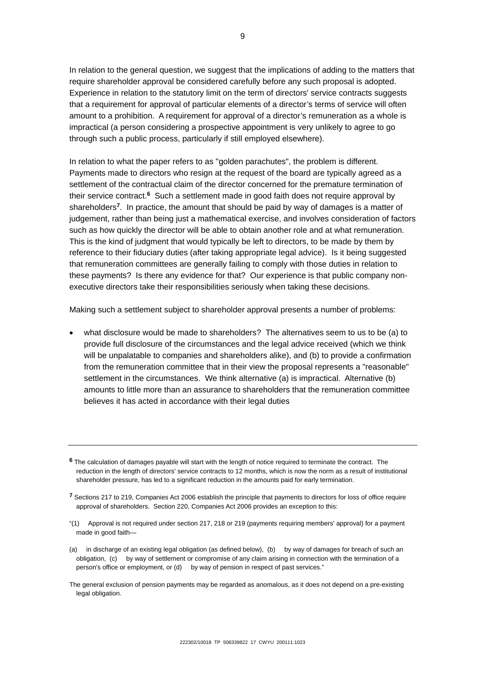In relation to the general question, we suggest that the implications of adding to the matters that require shareholder approval be considered carefully before any such proposal is adopted. Experience in relation to the statutory limit on the term of directors' service contracts suggests that a requirement for approval of particular elements of a director's terms of service will often amount to a prohibition. A requirement for approval of a director's remuneration as a whole is impractical (a person considering a prospective appointment is very unlikely to agree to go through such a public process, particularly if still employed elsewhere).

In relation to what the paper refers to as "golden parachutes", the problem is different. Payments made to directors who resign at the request of the board are typically agreed as a settlement of the contractual claim of the director concerned for the premature termination of their service contract.**[6](#page-8-0)** Such a settlement made in good faith does not require approval by shareholders**[7](#page-8-1)**. In practice, the amount that should be paid by way of damages is a matter of judgement, rather than being just a mathematical exercise, and involves consideration of factors such as how quickly the director will be able to obtain another role and at what remuneration. This is the kind of judgment that would typically be left to directors, to be made by them by reference to their fiduciary duties (after taking appropriate legal advice). Is it being suggested that remuneration committees are generally failing to comply with those duties in relation to these payments? Is there any evidence for that? Our experience is that public company nonexecutive directors take their responsibilities seriously when taking these decisions.

Making such a settlement subject to shareholder approval presents a number of problems:

• what disclosure would be made to shareholders? The alternatives seem to us to be (a) to provide full disclosure of the circumstances and the legal advice received (which we think will be unpalatable to companies and shareholders alike), and (b) to provide a confirmation from the remuneration committee that in their view the proposal represents a "reasonable" settlement in the circumstances. We think alternative (a) is impractical. Alternative (b) amounts to little more than an assurance to shareholders that the remuneration committee believes it has acted in accordance with their legal duties

<span id="page-8-0"></span>**<sup>6</sup>** The calculation of damages payable will start with the length of notice required to terminate the contract. The reduction in the length of directors' service contracts to 12 months, which is now the norm as a result of institutional shareholder pressure, has led to a significant reduction in the amounts paid for early termination.

<span id="page-8-1"></span>**<sup>7</sup>** Sections 217 to 219, Companies Act 2006 establish the principle that payments to directors for loss of office require approval of shareholders. Section 220, Companies Act 2006 provides an exception to this:

<sup>&</sup>quot;(1) Approval is not required under section 217, 218 or 219 (payments requiring members' approval) for a payment made in good faith—

<sup>(</sup>a) in discharge of an existing legal obligation (as defined below), (b) by way of damages for breach of such an obligation, (c) by way of settlement or compromise of any claim arising in connection with the termination of a person's office or employment, or (d) by way of pension in respect of past services."

The general exclusion of pension payments may be regarded as anomalous, as it does not depend on a pre-existing legal obligation.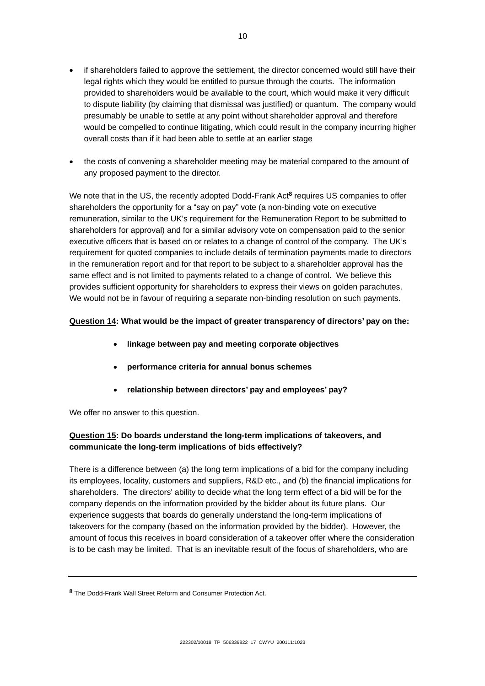- if shareholders failed to approve the settlement, the director concerned would still have their legal rights which they would be entitled to pursue through the courts. The information provided to shareholders would be available to the court, which would make it very difficult to dispute liability (by claiming that dismissal was justified) or quantum. The company would presumably be unable to settle at any point without shareholder approval and therefore would be compelled to continue litigating, which could result in the company incurring higher overall costs than if it had been able to settle at an earlier stage
- the costs of convening a shareholder meeting may be material compared to the amount of any proposed payment to the director.

We note that in the US, the recently adopted Dodd-Frank Act**[8](#page-9-0)** requires US companies to offer shareholders the opportunity for a "say on pay" vote (a non-binding vote on executive remuneration, similar to the UK's requirement for the Remuneration Report to be submitted to shareholders for approval) and for a similar advisory vote on compensation paid to the senior executive officers that is based on or relates to a change of control of the company. The UK's requirement for quoted companies to include details of termination payments made to directors in the remuneration report and for that report to be subject to a shareholder approval has the same effect and is not limited to payments related to a change of control. We believe this provides sufficient opportunity for shareholders to express their views on golden parachutes. We would not be in favour of requiring a separate non-binding resolution on such payments.

# **Question 14: What would be the impact of greater transparency of directors' pay on the:**

- **linkage between pay and meeting corporate objectives**
- **performance criteria for annual bonus schemes**
- **relationship between directors' pay and employees' pay?**

We offer no answer to this question.

# **Question 15: Do boards understand the long-term implications of takeovers, and communicate the long-term implications of bids effectively?**

There is a difference between (a) the long term implications of a bid for the company including its employees, locality, customers and suppliers, R&D etc., and (b) the financial implications for shareholders. The directors' ability to decide what the long term effect of a bid will be for the company depends on the information provided by the bidder about its future plans. Our experience suggests that boards do generally understand the long-term implications of takeovers for the company (based on the information provided by the bidder). However, the amount of focus this receives in board consideration of a takeover offer where the consideration is to be cash may be limited. That is an inevitable result of the focus of shareholders, who are

<span id="page-9-0"></span>**<sup>8</sup>** The Dodd-Frank Wall Street Reform and Consumer Protection Act.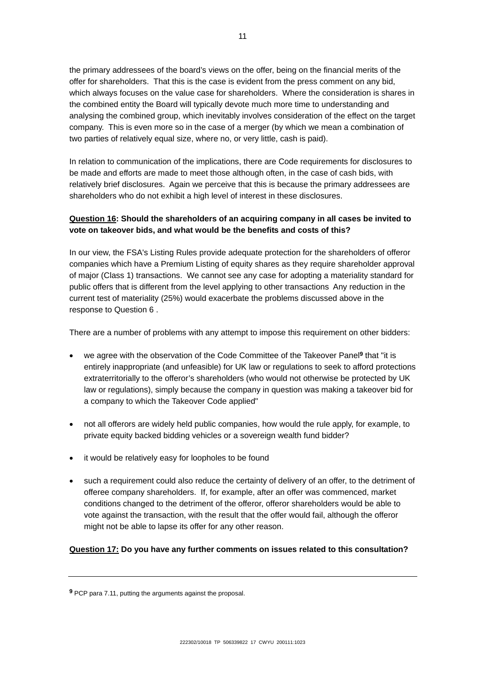the primary addressees of the board's views on the offer, being on the financial merits of the offer for shareholders. That this is the case is evident from the press comment on any bid, which always focuses on the value case for shareholders. Where the consideration is shares in the combined entity the Board will typically devote much more time to understanding and analysing the combined group, which inevitably involves consideration of the effect on the target company. This is even more so in the case of a merger (by which we mean a combination of two parties of relatively equal size, where no, or very little, cash is paid).

In relation to communication of the implications, there are Code requirements for disclosures to be made and efforts are made to meet those although often, in the case of cash bids, with relatively brief disclosures. Again we perceive that this is because the primary addressees are shareholders who do not exhibit a high level of interest in these disclosures.

# **Question 16: Should the shareholders of an acquiring company in all cases be invited to vote on takeover bids, and what would be the benefits and costs of this?**

In our view, the FSA's Listing Rules provide adequate protection for the shareholders of offeror companies which have a Premium Listing of equity shares as they require shareholder approval of major (Class 1) transactions. We cannot see any case for adopting a materiality standard for public offers that is different from the level applying to other transactions Any reduction in the current test of materiality (25%) would exacerbate the problems discussed above in the response to Question 6 .

There are a number of problems with any attempt to impose this requirement on other bidders:

- we agree with the observation of the Code Committee of the Takeover Panel**[9](#page-10-0)** that "it is entirely inappropriate (and unfeasible) for UK law or regulations to seek to afford protections extraterritorially to the offeror's shareholders (who would not otherwise be protected by UK law or regulations), simply because the company in question was making a takeover bid for a company to which the Takeover Code applied"
- not all offerors are widely held public companies, how would the rule apply, for example, to private equity backed bidding vehicles or a sovereign wealth fund bidder?
- it would be relatively easy for loopholes to be found
- such a requirement could also reduce the certainty of delivery of an offer, to the detriment of offeree company shareholders. If, for example, after an offer was commenced, market conditions changed to the detriment of the offeror, offeror shareholders would be able to vote against the transaction, with the result that the offer would fail, although the offeror might not be able to lapse its offer for any other reason.

#### **Question 17: Do you have any further comments on issues related to this consultation?**

<span id="page-10-0"></span>**<sup>9</sup>** PCP para 7.11, putting the arguments against the proposal.